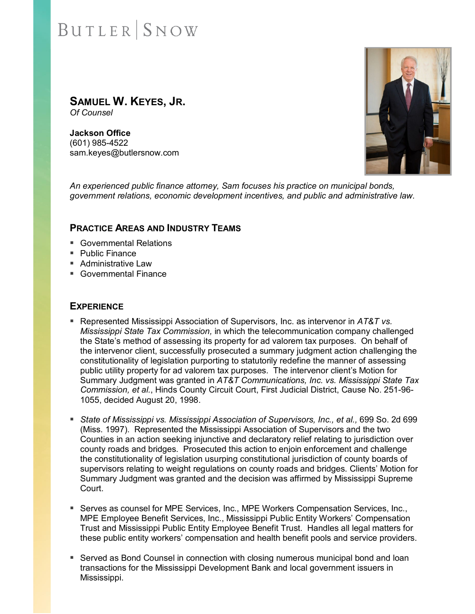#### **SAMUEL W. KEYES, JR.** *Of Counsel*

**Jackson Office** (601) 985-4522 sam.keyes@butlersnow.com



*An experienced public finance attorney, Sam focuses his practice on municipal bonds, government relations, economic development incentives, and public and administrative law.*

#### **PRACTICE AREAS AND INDUSTRY TEAMS**

- Governmental Relations
- Public Finance
- Administrative Law
- Governmental Finance

#### **EXPERIENCE**

- Represented Mississippi Association of Supervisors, Inc. as intervenor in *AT&T vs. Mississippi State Tax Commission,* in which the telecommunication company challenged the State's method of assessing its property for ad valorem tax purposes. On behalf of the intervenor client, successfully prosecuted a summary judgment action challenging the constitutionality of legislation purporting to statutorily redefine the manner of assessing public utility property for ad valorem tax purposes. The intervenor client's Motion for Summary Judgment was granted in *AT&T Communications, Inc. vs. Mississippi State Tax Commission, et al.*, Hinds County Circuit Court, First Judicial District, Cause No. 251-96- 1055, decided August 20, 1998.
- **State of Mississippi vs. Mississippi Association of Supervisors, Inc., et al., 699 So. 2d 699** (Miss. 1997). Represented the Mississippi Association of Supervisors and the two Counties in an action seeking injunctive and declaratory relief relating to jurisdiction over county roads and bridges. Prosecuted this action to enjoin enforcement and challenge the constitutionality of legislation usurping constitutional jurisdiction of county boards of supervisors relating to weight regulations on county roads and bridges. Clients' Motion for Summary Judgment was granted and the decision was affirmed by Mississippi Supreme Court.
- Serves as counsel for MPE Services, Inc., MPE Workers Compensation Services, Inc., MPE Employee Benefit Services, Inc., Mississippi Public Entity Workers' Compensation Trust and Mississippi Public Entity Employee Benefit Trust. Handles all legal matters for these public entity workers' compensation and health benefit pools and service providers.
- **Served as Bond Counsel in connection with closing numerous municipal bond and loan** transactions for the Mississippi Development Bank and local government issuers in Mississippi.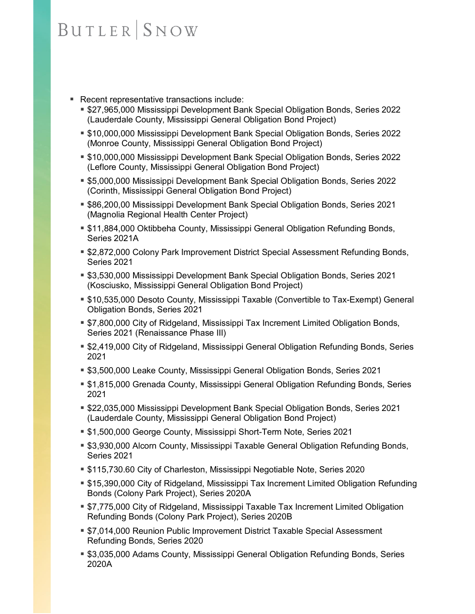- Recent representative transactions include:
	- \$27,965,000 Mississippi Development Bank Special Obligation Bonds, Series 2022 (Lauderdale County, Mississippi General Obligation Bond Project)
	- \$10,000,000 Mississippi Development Bank Special Obligation Bonds, Series 2022 (Monroe County, Mississippi General Obligation Bond Project)
	- \$10,000,000 Mississippi Development Bank Special Obligation Bonds, Series 2022 (Leflore County, Mississippi General Obligation Bond Project)
	- \$5,000,000 Mississippi Development Bank Special Obligation Bonds, Series 2022 (Corinth, Mississippi General Obligation Bond Project)
	- \$86,200,00 Mississippi Development Bank Special Obligation Bonds, Series 2021 (Magnolia Regional Health Center Project)
	- \$11,884,000 Oktibbeha County, Mississippi General Obligation Refunding Bonds, Series 2021A
	- \$2,872,000 Colony Park Improvement District Special Assessment Refunding Bonds, Series 2021
	- \$3,530,000 Mississippi Development Bank Special Obligation Bonds, Series 2021 (Kosciusko, Mississippi General Obligation Bond Project)
	- \$10,535,000 Desoto County, Mississippi Taxable (Convertible to Tax-Exempt) General Obligation Bonds, Series 2021
	- \$7,800,000 City of Ridgeland, Mississippi Tax Increment Limited Obligation Bonds, Series 2021 (Renaissance Phase III)
	- \$2,419,000 City of Ridgeland, Mississippi General Obligation Refunding Bonds, Series 2021
	- \$3,500,000 Leake County, Mississippi General Obligation Bonds, Series 2021
	- \$1,815,000 Grenada County, Mississippi General Obligation Refunding Bonds, Series 2021
	- \$22,035,000 Mississippi Development Bank Special Obligation Bonds, Series 2021 (Lauderdale County, Mississippi General Obligation Bond Project)
	- \$1,500,000 George County, Mississippi Short-Term Note, Series 2021
	- \$3,930,000 Alcorn County, Mississippi Taxable General Obligation Refunding Bonds, Series 2021
	- \$115,730.60 City of Charleston, Mississippi Negotiable Note, Series 2020
	- \$15,390,000 City of Ridgeland, Mississippi Tax Increment Limited Obligation Refunding Bonds (Colony Park Project), Series 2020A
	- \$7,775,000 City of Ridgeland, Mississippi Taxable Tax Increment Limited Obligation Refunding Bonds (Colony Park Project), Series 2020B
	- \$7,014,000 Reunion Public Improvement District Taxable Special Assessment Refunding Bonds, Series 2020
	- \$3,035,000 Adams County, Mississippi General Obligation Refunding Bonds, Series 2020A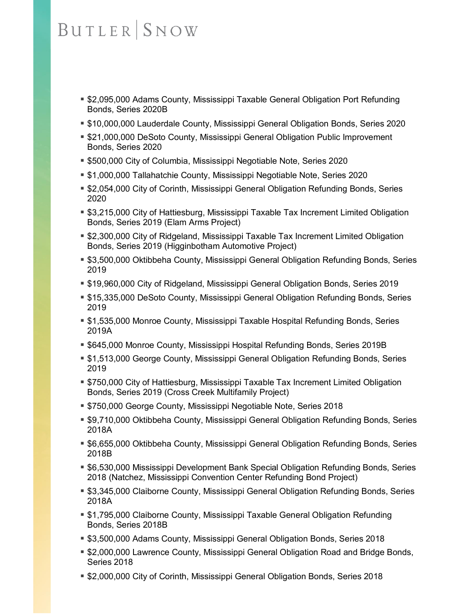- \$2,095,000 Adams County, Mississippi Taxable General Obligation Port Refunding Bonds, Series 2020B
- \$10,000,000 Lauderdale County, Mississippi General Obligation Bonds, Series 2020
- \$21,000,000 DeSoto County, Mississippi General Obligation Public Improvement Bonds, Series 2020
- \$500,000 City of Columbia, Mississippi Negotiable Note, Series 2020
- \$1,000,000 Tallahatchie County, Mississippi Negotiable Note, Series 2020
- \$2,054,000 City of Corinth, Mississippi General Obligation Refunding Bonds, Series 2020
- \$3,215,000 City of Hattiesburg, Mississippi Taxable Tax Increment Limited Obligation Bonds, Series 2019 (Elam Arms Project)
- \$2,300,000 City of Ridgeland, Mississippi Taxable Tax Increment Limited Obligation Bonds, Series 2019 (Higginbotham Automotive Project)
- \$3,500,000 Oktibbeha County, Mississippi General Obligation Refunding Bonds, Series 2019
- \$19,960,000 City of Ridgeland, Mississippi General Obligation Bonds, Series 2019
- \$15,335,000 DeSoto County, Mississippi General Obligation Refunding Bonds, Series 2019
- \$1,535,000 Monroe County, Mississippi Taxable Hospital Refunding Bonds, Series 2019A
- \$645,000 Monroe County, Mississippi Hospital Refunding Bonds, Series 2019B
- \$1,513,000 George County, Mississippi General Obligation Refunding Bonds, Series 2019
- \$750,000 City of Hattiesburg, Mississippi Taxable Tax Increment Limited Obligation Bonds, Series 2019 (Cross Creek Multifamily Project)
- \$750,000 George County, Mississippi Negotiable Note, Series 2018
- \$9,710,000 Oktibbeha County, Mississippi General Obligation Refunding Bonds, Series 2018A
- \$6,655,000 Oktibbeha County, Mississippi General Obligation Refunding Bonds, Series 2018B
- \$6,530,000 Mississippi Development Bank Special Obligation Refunding Bonds, Series 2018 (Natchez, Mississippi Convention Center Refunding Bond Project)
- \$3,345,000 Claiborne County, Mississippi General Obligation Refunding Bonds, Series 2018A
- \$1,795,000 Claiborne County, Mississippi Taxable General Obligation Refunding Bonds, Series 2018B
- \$3,500,000 Adams County, Mississippi General Obligation Bonds, Series 2018
- \$2,000,000 Lawrence County, Mississippi General Obligation Road and Bridge Bonds, Series 2018
- \$2,000,000 City of Corinth, Mississippi General Obligation Bonds, Series 2018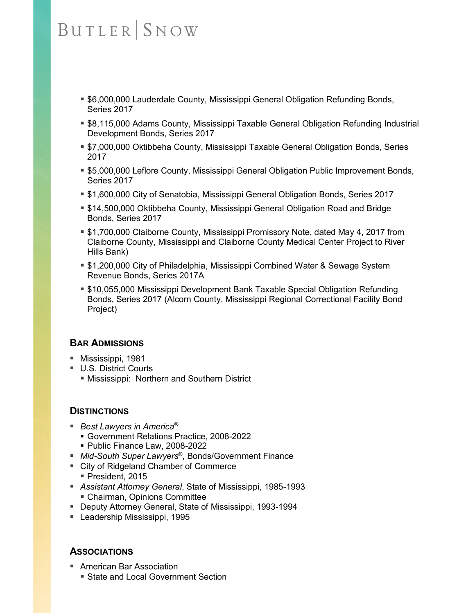- \$6,000,000 Lauderdale County, Mississippi General Obligation Refunding Bonds, Series 2017
- \$8,115,000 Adams County, Mississippi Taxable General Obligation Refunding Industrial Development Bonds, Series 2017
- \$7,000,000 Oktibbeha County, Mississippi Taxable General Obligation Bonds, Series 2017
- \$5,000,000 Leflore County, Mississippi General Obligation Public Improvement Bonds, Series 2017
- \$1,600,000 City of Senatobia, Mississippi General Obligation Bonds, Series 2017
- \$14,500,000 Oktibbeha County, Mississippi General Obligation Road and Bridge Bonds, Series 2017
- \$1,700,000 Claiborne County, Mississippi Promissory Note, dated May 4, 2017 from Claiborne County, Mississippi and Claiborne County Medical Center Project to River Hills Bank)
- \$1,200,000 City of Philadelphia, Mississippi Combined Water & Sewage System Revenue Bonds, Series 2017A
- \$10,055,000 Mississippi Development Bank Taxable Special Obligation Refunding Bonds, Series 2017 (Alcorn County, Mississippi Regional Correctional Facility Bond Project)

### **BAR ADMISSIONS**

- **Mississippi, 1981**
- U.S. District Courts
	- Mississippi: Northern and Southern District

#### **DISTINCTIONS**

- *Best Lawyers in America<sup>®</sup>* 
	- Government Relations Practice, 2008-2022
	- Public Finance Law, 2008-2022
- *Mid-South Super Lawyers*®, Bonds/Government Finance
- City of Ridgeland Chamber of Commerce
	- President, 2015
- *Assistant Attorney General*, State of Mississippi, 1985-1993 Chairman, Opinions Committee
- Deputy Attorney General, State of Mississippi, 1993-1994
- **Leadership Mississippi, 1995**

### **ASSOCIATIONS**

- American Bar Association
	- State and Local Government Section